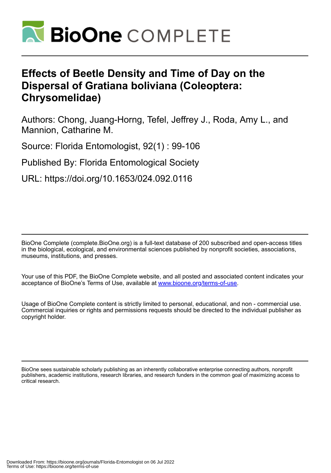

# **Effects of Beetle Density and Time of Day on the Dispersal of Gratiana boliviana (Coleoptera: Chrysomelidae)**

Authors: Chong, Juang-Horng, Tefel, Jeffrey J., Roda, Amy L., and Mannion, Catharine M.

Source: Florida Entomologist, 92(1) : 99-106

Published By: Florida Entomological Society

URL: https://doi.org/10.1653/024.092.0116

BioOne Complete (complete.BioOne.org) is a full-text database of 200 subscribed and open-access titles in the biological, ecological, and environmental sciences published by nonprofit societies, associations, museums, institutions, and presses.

Your use of this PDF, the BioOne Complete website, and all posted and associated content indicates your acceptance of BioOne's Terms of Use, available at www.bioone.org/terms-of-use.

Usage of BioOne Complete content is strictly limited to personal, educational, and non - commercial use. Commercial inquiries or rights and permissions requests should be directed to the individual publisher as copyright holder.

BioOne sees sustainable scholarly publishing as an inherently collaborative enterprise connecting authors, nonprofit publishers, academic institutions, research libraries, and research funders in the common goal of maximizing access to critical research.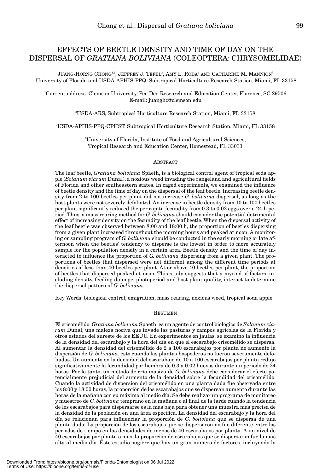## EFFECTS OF BEETLE DENSITY AND TIME OF DAY ON THE DISPERSAL OF *GRATIANA BOLIVIANA* (COLEOPTERA: CHRYSOMELIDAE)

 $\rm J$ uang-Horng Chong $^{12}$ , Jeffrey J. Tefel $^3$ , Amy L. Roda $^4$  and Catharine M. Mannion $^5$ 1 University of Florida and USDA-APHIS-PPQ, Subtropical Horticulture Research Station, Miami, FL 33158

2 Current address: Clemson University, Pee Dee Research and Education Center, Florence, SC 29506 E-mail: juanghc@clemson.edu

3 USDA-ARS, Subtropical Horticulture Research Station, Miami, FL 33158

4 USDA-APHIS-PPQ-CPHST, Subtropical Horticulture Research Station, Miami, FL 33158

5 University of Florida, Institute of Food and Agricultural Sciences, Tropical Research and Education Center, Homestead, FL 33031

## **ABSTRACT**

The leaf beetle, *Gratiana boliviana* Spaeth, is a biological control agent of tropical soda apple (*Solanum viarum* Dunal), a noxious weed invading the rangeland and agricultural fields of Florida and other southeastern states. In caged experiments, we examined the influence of beetle density and the time of day on the dispersal of the leaf beetle. Increasing beetle density from 2 to 100 beetles per plant did not increase *G. boliviana* dispersal, as long as the host plants were not severely defoliated. An increase in beetle density from 10 to 100 beetles per plant significantly reduced the per capita fecundity from 0.3 to 0.02 eggs over a 24-h period. Thus, a mass rearing method for *G. boliviana* should consider the potential detrimental effect of increasing density on the fecundity of the leaf beetle. When the dispersal activity of the leaf beetle was observed between 8:00 and 18:00 h, the proportion of beetles dispersing from a given plant increased throughout the morning hours and peaked at noon. A monitoring or sampling program of *G. boliviana* should be conducted in the early morning or late afternoon when the beetles' tendency to disperse is the lowest in order to more accurately sample for the population density in a certain area. Beetle density and the time of day interacted to influence the proportion of *G. boliviana* dispersing from a given plant. The proportions of beetles that dispersed were not different among the different time periods at densities of less than 40 beetles per plant. At or above 40 beetles per plant, the proportion of beetles that dispersed peaked at noon. This study suggests that a myriad of factors, including density, feeding damage, photoperiod and host plant quality, interact to determine the dispersal pattern of *G. boliviana*.

Key Words: biological control, emigration, mass rearing, noxious weed, tropical soda apple

## RESUMEN

El crisomélido, *Gratiana boliviana* Spaeth, es un agente de control biológico de *Solanum viarum* Dunal, una maleza nociva que invade las pasturas y campos agrícolas de la Florida y otros estados del sureste de los EEUU. En experimentos en jaulas, se examino la influencia de la densidad del escarabajo y la hora del día en que el escarabajo crisomélido se dispersa. Al aumentar la densidad del crisomélido de 2 a 100 escarabajos por planta no aumento la dispersión de *G. boliviana*, esto cuando las plantas hospederas no fueron severamente defoliadas. Un aumento en la densidad del escarabajo de 10 a 100 escarabajos por planta redujo significativamente la fecundidad por hembra de 0.3 a 0.02 huevos durante un periodo de 24 horas. Por lo tanto, un método de cría masiva de *G. boliviana* debe considerar el efecto potencialmente prejudicial del aumento de la densidad sobre la fecundidad del crisomélido. Cuando la actividad de dispersión del crisomélido en una planta dada fue observada entre los 8:00 y 18:00 horas, la proporción de los escarabajos que se dispersan aumento durante las horas de la mañana con su máximo al medio día. Se debe realizar un programa de monitoreo y muestreo de *G. boliviana* temprano en la mañana o al final de la tarde cuando la tendencia de los escarabajos para dispersarse es la mas baja para obtener una muestra mas precisa de la densidad de la población en una área especifica. La densidad del escarabajo y la hora del día se relacionan para influenciar la proporción de *G. boliviana* que se dispersa de una planta dada. La proporción de los escarabajos que se dispersaron no fue diferente entre los periodos de tiempo en las densidades de menos de 40 escarabajos por planta. A un nivel de 40 escarabajos por planta o mas, la proporción de escarabajos que se dispersaron fue la mas alta al medio día. Este estudio sugiere que hay un gran número de factores, incluyendo la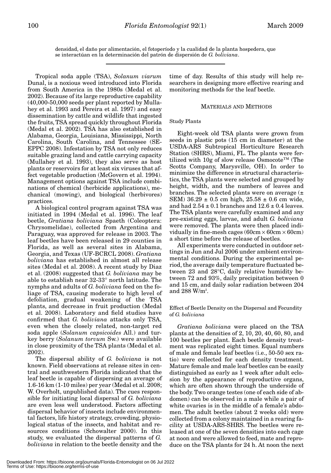densidad, el daño por alimentación, el fotoperíodo y la cualidad de la planta hospedera, que se interactúan en la determinación del patrón de dispersión de *G. boliviana*.

Tropical soda apple (TSA), *Solanum viarum* Dunal, is a noxious weed introduced into Florida from South America in the 1980s (Medal et al. 2002). Because of its large reproductive capability (40,000-50,000 seeds per plant reported by Mullahey et al. 1993 and Pereira et al. 1997) and easy dissemination by cattle and wildlife that ingested the fruits, TSA spread quickly throughout Florida (Medal et al. 2002). TSA has also established in Alabama, Georgia, Louisiana, Mississippi, North Carolina, South Carolina, and Tennessee (SE-EPPC 2008). Infestation by TSA not only reduces suitable grazing land and cattle carrying capacity (Mullahey et al. 1993), they also serve as host plants or reservoirs for at least six viruses that affect vegetable production (McGovern et al. 1994). Management options against TSA include combinations of chemical (herbicide applications), mechanical (mowing), and biological (herbivores) practices.

A biological control program against TSA was initiated in 1994 (Medal et al. 1996). The leaf beetle, *Gratiana boliviana* Spaeth (Coleoptera: Chrysomelidae), collected from Argentina and Paraguay, was approved for release in 2003. The leaf beetles have been released in 29 counties in Florida, as well as several sites in Alabama, Georgia, and Texas (UF-BCRCL 2008). *Gratiana boliviana* has established in almost all release sites (Medal et al. 2008). A recent study by Diaz et al. (2008) suggested that *G. boliviana* may be able to establish near 32-33° north latitude. The nymphs and adults of *G. boliviana* feed on the foliage of TSA, causing moderate to high level of defoliation, gradual weakening of the TSA plants, and decrease in fruit production (Medal et al. 2008). Laboratory and field studies have confirmed that *G. boliviana* attacks only TSA, even when the closely related, non-target red soda apple (*Solanum capsicoides* All.) and turkey berry (*Solanum torvum* Sw.) were available in close proximity of the TSA plants (Medal et al. 2002).

The dispersal ability of *G. boliviana* is not known. Field observations at release sites in central and southwestern Florida indicated that the leaf beetle is capable of dispersing an average of 1.6-16 km (1-10 miles) per year (Medal et al. 2008; W. Overholt, unpublished data). The cues responsible for initiating local dispersal of *G. boliviana* are even less well understood. Factors affecting dispersal behavior of insects include environmental factors, life history strategy, crowding, physiological status of the insects, and habitat and resources conditions (Schowalter 2000). In this study, we evaluated the dispersal patterns of *G. boliviana* in relation to the beetle density and the

time of day. Results of this study will help researchers in designing more effective rearing and monitoring methods for the leaf beetle.

## MATERIALS AND METHODS

## Study Plants

Eight-week old TSA plants were grown from seeds in plastic pots (15 cm in diameter) at the USDA-ARS Subtropical Horticulture Research Station (SHRS), Miami, FL. The plants were fertilized with 10g of slow release Osmocote™ (The Scotts Company, Marysville, OH). In order to minimize the difference in structural characteristics, the TSA plants were selected and grouped by height, width, and the numbers of leaves and branches. The selected plants were on average (± SEM)  $36.29 \pm 0.5$  cm high,  $25.58 \pm 0.6$  cm wide, and had  $2.54 \pm 0.1$  branches and  $12.6 \pm 0.4$  leaves. The TSA plants were carefully examined and any pre-existing eggs, larvae, and adult *G. boliviana* were removed. The plants were then placed individually in fine-mesh cages ( $60 \text{cm} \times 60 \text{cm} \times 60 \text{cm}$ ) a short time before the release of beetles.

All experiments were conducted in outdoor settings in Jun and Jul 2006 under ambient environmental conditions. During the experimental period, the average daily temperature fluctuated between 23 and 28°C, daily relative humidity between 72 and 93%, daily precipitation between 0 and 15 cm, and daily solar radiation between 204 and  $288$  W/m $^{\rm 2}$ .

## Effect of Beetle Density on the Dispersal and Fecundity of *G. boliviana*

*Gratiana boliviana* were placed on the TSA plants at the densities of 2, 10, 20, 40, 60, 80, and 100 beetles per plant. Each beetle density treatment was replicated eight times. Equal numbers of male and female leaf beetles (i.e., 50-50 sex ratio) were collected for each density treatment. Mature female and male leaf beetles can be easily distinguished as early as 1 week after adult eclosion by the appearance of reproductive organs, which are often shown through the underside of the body. Two orange testes (one of each side of abdomen) can be observed in a male while a pair of white ovaries is in the middle of a female's abdomen. The adult beetles (about 2 weeks old) were collected from a colony maintained in a rearing facility at USDA-ARS-SHRS. The beetles were released at one of the seven densities into each cage at noon and were allowed to feed, mate and reproduce on the TSA plants for 24 h. At noon the next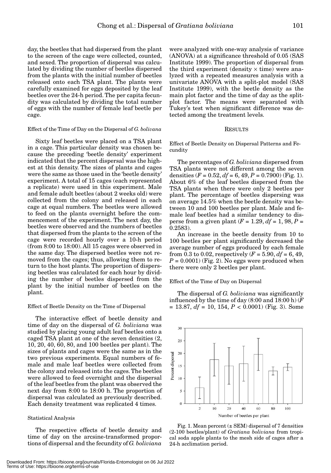day, the beetles that had dispersed from the plant to the screen of the cage were collected, counted, and sexed. The proportion of dispersal was calculated by dividing the number of beetles dispersed from the plants with the initial number of beetles released onto each TSA plant. The plants were carefully examined for eggs deposited by the leaf beetles over the 24-h period. The per capita fecundity was calculated by dividing the total number of eggs with the number of female leaf beetle per cage.

## Effect of the Time of Day on the Dispersal of *G. bolivana*

Sixty leaf beetles were placed on a TSA plant in a cage. This particular density was chosen because the preceding 'beetle density' experiment indicated that the percent dispersal was the highest at this density. The sizes of plants and cages were the same as those used in the 'beetle density' experiment. A total of 15 cages (each represented a replicate) were used in this experiment. Male and female adult beetles (about 2 weeks old) were collected from the colony and released in each cage at equal numbers. The beetles were allowed to feed on the plants overnight before the commencement of the experiment. The next day, the beetles were observed and the numbers of beetles that dispersed from the plants to the screen of the cage were recorded hourly over a 10-h period (from 8:00 to 18:00). All 15 cages were observed in the same day. The dispersed beetles were not removed from the cages; thus, allowing them to return to the host plants. The proportion of dispersing beetles was calculated for each hour by dividing the number of beetles dispersed from the plant by the initial number of beetles on the plant.

### Effect of Beetle Density on the Time of Dispersal

The interactive effect of beetle density and time of day on the dispersal of *G. boliviana* was studied by placing young adult leaf beetles onto a caged TSA plant at one of the seven densities (2, 10, 20, 40, 60, 80, and 100 beetles per plant). The sizes of plants and cages were the same as in the two previous experiments. Equal numbers of female and male leaf beetles were collected from the colony and released into the cages. The beetles were allowed to feed overnight and the dispersal of the leaf beetles from the plant was observed the next day from 8:00 to 18:00 h. The proportion of dispersal was calculated as previously described. Each density treatment was replicated 4 times.

## Statistical Analysis

The respective effects of beetle density and time of day on the arcsine-transformed proportions of dispersal and the fecundity of *G. boliviana*

were analyzed with one-way analysis of variance (ANOVA) at a significance threshold of 0.05 (SAS Institute 1999). The proportion of dispersal from the third experiment (density  $\times$  time) were analyzed with a repeated measures analysis with a univariate ANOVA with a split-plot model (SAS Institute 1999), with the beetle density as the main plot factor and the time of day as the splitplot factor. The means were separated with Tukey's test when significant difference was detected among the treatment levels.

## RESULTS

Effect of Beetle Density on Dispersal Patterns and Fecundity

The percentages of *G. boliviana* dispersed from TSA plants were not different among the seven densities  $(F = 0.52, df = 6, 49, P = 0.7900)$  (Fig. 1). About 6% of the leaf beetles dispersed from the TSA plants when there were only 2 beetles per plant. The percentage of beetles dispersing was on average 14.5% when the beetle density was between 10 and 100 beetles per plant. Male and female leaf beetles had a similar tendency to disperse from a given plant  $(F = 1.29, df = 1, 98, P =$ 0.2583).

An increase in the beetle density from 10 to 100 beetles per plant significantly decreased the average number of eggs produced by each female from 0.3 to 0.02, respectively  $(F = 5.90, df = 6, 49,$  $P = 0.0001$  (Fig. 2). No eggs were produced when there were only 2 beetles per plant.

Effect of the Time of Day on Dispersal

The dispersal of *G. boliviana* was significantly influenced by the time of day (8:00 and 18:00 h) (*F*  $= 13.87, df = 10, 154, P < 0.0001$  (Fig. 3). Some



Fig. 1. Mean percent  $(\pm$  SEM) dispersal of 7 densities (2-100 beetles/plant) of *Gratiana boliviana* from tropical soda apple plants to the mesh side of cages after a 24-h acclimation period.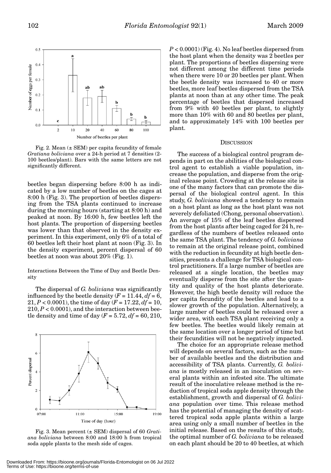

Fig. 2. Mean  $(\pm$  SEM) per capita fecundity of female *Gratiana boliviana* over a 24-h period at 7 densities (2- 100 beetles/plant). Bars with the same letters are not significantly different.

beetles began dispersing before 8:00 h as indicated by a low number of beetles on the cages at 8:00 h (Fig. 3). The proportion of beetles dispersing from the TSA plants continued to increase during the morning hours (starting at 8:00 h) and peaked at noon. By 16:00 h, few beetles left the host plants. The proportion of dispersing beetles was lower than that observed in the density experiment. In this experiment, only 6% of a total of 60 beetles left their host plant at noon (Fig. 3). In the density experiment, percent dispersal of 60 beetles at noon was about 20% (Fig. 1).

Interactions Between the Time of Day and Beetle Density

The dispersal of *G. boliviana* was significantly influenced by the beetle density  $(F = 11.44, df = 6,$  $21, P < 0.0001$ , the time of day ( $F = 17.22, df = 10$ ,  $210, P < 0.0001$ , and the interaction between beetle density and time of day  $(F = 5.72, df = 60, 210,$ 



Fig. 3. Mean percent (± SEM) dispersal of 60 *Gratiana boliviana* between 8:00 and 18:00 h from tropical soda apple plants to the mesh side of cages.

*P* < 0.0001) (Fig. 4). No leaf beetles dispersed from the host plant when the density was 2 beetles per plant. The proportions of beetles dispersing were not different among the different time periods when there were 10 or 20 beetles per plant. When the beetle density was increased to 40 or more beetles, more leaf beetles dispersed from the TSA plants at noon than at any other time. The peak percentage of beetles that dispersed increased from 9% with 40 beetles per plant, to slightly more than 10% with 60 and 80 beetles per plant, and to approximately 14% with 100 beetles per plant.

## **DISCUSSION**

The success of a biological control program depends in part on the abilities of the biological control agent to establish a viable population, increase the population, and disperse from the original release point. Crowding at the release site is one of the many factors that can promote the dispersal of the biological control agent. In this study, *G. boliviana* showed a tendency to remain on a host plant as long as the host plant was not severely defoliated (Chong, personal observation). An average of 15% of the leaf beetles dispersed from the host plants after being caged for 24 h, regardless of the numbers of beetles released onto the same TSA plant. The tendency of *G. boliviana* to remain at the original release point, combined with the reduction in fecundity at high beetle densities, presents a challenge for TSA biological control practitioners. If a large number of beetles are released at a single location, the beetles may eventually disperse from the site after the quantity and quality of the host plants deteriorate. However, the high beetle density will reduce the per capita fecundity of the beetles and lead to a slower growth of the population. Alternatively, a large number of beetles could be released over a wider area, with each TSA plant receiving only a few beetles. The beetles would likely remain at the same location over a longer period of time but their fecundities will not be negatively impacted.

The choice for an appropriate release method will depends on several factors, such as the number of available beetles and the distribution and accessibility of TSA plants. Currently, *G. boliviana* is mostly released in an inoculation on several plants within an infested site. The ultimate result of the inoculative release method is the reduction of tropical soda apple density through the establishment, growth and dispersal of *G. boliviana* population over time. This release method has the potential of managing the density of scattered tropical soda apple plants within a large area using only a small number of beetles in the initial release. Based on the results of this study, the optimal number of *G. boliviana* to be released on each plant should be 20 to 40 beetles, at which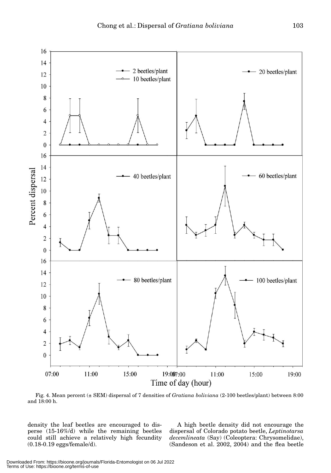

Fig. 4. Mean percent (± SEM) dispersal of 7 densities of *Gratiana boliviana* (2-100 beetles/plant) between 8:00 and 18:00 h.

density the leaf beetles are encouraged to disperse (15-16%/d) while the remaining beetles could still achieve a relatively high fecundity (0.18-0.19 eggs/female/d).

A high beetle density did not encourage the dispersal of Colorado potato beetle, *Leptinotarsa decemlineata* (Say) (Coleoptera: Chrysomelidae), (Sandeson et al. 2002, 2004) and the flea beetle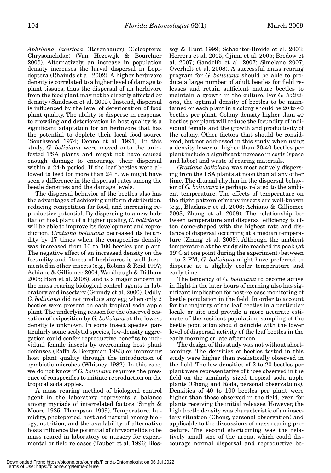*Aphthona lacertosa* (Rosenhauer) (Coleoptera: Chrysomelidae) (Van Hezewijk & Bourchier 2005). Alternatively, an increase in population density increases the larval dispersal in Lepidoptera (Rhainds et al. 2002). A higher herbivore density is correlated to a higher level of damage to plant tissues; thus the dispersal of an herbivore from the food plant may not be directly affected by density (Sandeson et al. 2002). Instead, dispersal is influenced by the level of deterioration of food plant quality. The ability to disperse in response to crowding and deterioration in host quality is a significant adaptation for an herbivore that has the potential to deplete their local food source (Southwood 1974; Denno et al. 1991). In this study, *G. boliviana* were moved onto the uninfested TSA plants and might not have caused enough damage to encourage their dispersal within a 24-h period. If the leaf beetles were allowed to feed for more than 24 h, we might have seen a difference in the dispersal rates among the beetle densities and the damage levels.

The dispersal behavior of the beetles also has the advantages of achieving uniform distribution, reducing competition for food, and increasing reproductive potential. By dispersing to a new habitat or host plant of a higher quality, *G. boliviana* will be able to improve its development and reproduction. *Gratiana boliviana* decreased its fecundity by 17 times when the conspecifics density was increased from 10 to 100 beetles per plant. The negative effect of an increased density on the fecundity and fitness of herbivores is well-documented in other insects (e.g., Robins & Reid 1997; Achiano & Gilliomee 2004; Wardhaugh & Didham 2005; Hari et al. 2008), and is a major concern in the mass rearing biological control agents in laboratory and insectary (Grundy et al. 2000). Oddly, *G. boliviana* did not produce any egg when only 2 beetles were present on each tropical soda apple plant. The underlying reason for the observed cessation of oviposition by *G. boliviana* at the lowest density is unknown. In some insect species, particularly some scolytid species, low-density aggregation could confer reproductive benefits to individual female insects by overcoming host plant defenses (Raffa & Berryman 1983) or improving host plant quality through the introduction of symbiotic microbes (Whitney 1982). In this case, we do not know if *G. boliviana* requires the presence of conspecifics to initiate reproduction on the tropical soda apples.

A mass rearing method of biological control agent in the laboratory represents a balance among myriads of interrelated factors (Singh & Moore 1985; Thompson 1999). Temperature, humidity, photoperiod, host and natural enemy biology, nutrition, and the availability of alternative hosts influence the potential of chrysomelids to be mass reared in laboratory or nursery for experimental or field releases (Tauber et al. 1996; Blossey & Hunt 1999; Schachter-Broide et al. 2003; Herrera et al. 2005; Ojima et al. 2005; Bredow et al. 2007; Gandolfo et al. 2007; Simelane 2007; Overholt et al. 2008). A successful mass rearing program for *G. boliviana* should be able to produce a large number of adult beetles for field releases and retain sufficient mature beetles to maintain a growth in the culture. For *G. boliviana*, the optimal density of beetles to be maintained on each plant in a colony should be 20 to 40 beetles per plant. Colony density higher than 40 beetles per plant will reduce the fecundity of individual female and the growth and productivity of the colony. Other factors that should be considered, but not addressed in this study, when using a density lower or higher than 20-40 beetles per plant include a significant increase in costs (space and labor) and waste of rearing materials.

*Gratiana boliviana* was most actively dispersing from the TSA plants at noon than at any other time. The diurnal rhythm in the dispersal behavior of *G. boliviana* is perhaps related to the ambient temperature. The effects of temperature on the flight pattern of many insects are well-known (e.g., Blackmer et al. 2006; Achiano & Gilliomee 2008; Zhang et al. 2008). The relationship between temperature and dispersal efficiency is often dome-shaped with the highest rate and distance of dispersal occurring at a median temperature (Zhang et al. 2008). Although the ambient temperature at the study site reached its peak (at 39°C at one point during the experiment) between 1 to 2 PM, *G. boliviana* might have preferred to disperse at a slightly cooler temperature and early time.

The tendency of *G. boliviana* to become active in flight in the later hours of morning also has significant implication for post-release monitoring of beetle population in the field. In order to account for the majority of the leaf beetles in a particular locale or site and provide a more accurate estimate of the resident population, sampling of the beetle population should coincide with the lower level of dispersal activity of the leaf beetles in the early morning or late afternoon.

The design of this study was not without shortcomings. The densities of beetles tested in this study were higher than realistically observed in the field. The low densities of 2 to 20 beetles per plant were representative of those observed in the field on the similarly sized tropical soda apple plants (Chong and Roda, personal observations). Densities of 40 to 100 beetles per plant were higher than those observed in the field, even for plants receiving the initial releases. However, the high beetle density was characteristic of an insectary situation (Chong, personal observation) and applicable to the discussions of mass rearing procedure. The second shortcoming was the relatively small size of the arena, which could discourage normal dispersal and reproductive be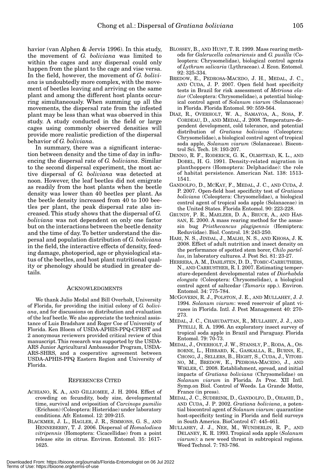havior (van Alphen & Jervis 1996). In this study, the movement of *G. boliviana* was limited to within the cages and any dispersal could only happen from the plant to the cage and vise versa. In the field, however, the movement of *G. boliviana* is undoubtedly more complex, with the movement of beetles leaving and arriving on the same plant and among the different host plants occurring simultaneously. When summing up all the movements, the dispersal rate from the infested plant may be less than what was observed in this study. A study conducted in the field or large cages using commonly observed densities will provide more realistic prediction of the dispersal behavior of *G. boliviana*.

In summary, there was a significant interaction between density and the time of day in influencing the dispersal rate of *G. boliviana*. Similar to the second dispersal experiment, the most active dispersal of *G. boliviana* was detected at noon. However, the leaf beetles did not emigrate as readily from the host plants when the beetle density was lower than 40 beetles per plant. As the beetle density increased from 40 to 100 beetles per plant, the peak dispersal rate also increased. This study shows that the dispersal of *G. boliviana* was not dependent on only one factor but on the interactions between the beetle density and the time of day. To better understand the dispersal and population distribution of *G. boliviana* in the field, the interactive effects of density, feeding damage, photoperiod, age or physiological status of the beetles, and host plant nutritional quality or phenology should be studied in greater details.

## ACKNOWLEDGMENTS

We thank Julio Medal and Bill Overholt, University of Florida, for providing the initial colony of *G. boliviana*, and for discussions on distribution and evaluation of the leaf beetle. We also appreciate the technical assistance of Luis Bradshaw and Roger Coe of University of Florida. Ken Bloem of USDA-APHIS-PPQ-CPHST and 2 anonymous reviewers provided critical review of this manuscript. This research was supported by the USDA-ARS Junior Agricultural Ambassador Program, USDA-ARS-SHRS, and a cooperative agreement between USDA-APHIS-PPQ Eastern Region and University of Florida.

### REFERENCES CITED

- ACHIANO, K. A., AND GILLIOMEE, J. H. 2004. Effect of crowding on fecundity, body size, developmental time, survival and oviposition of *Carcinops pumilio* (Erichson) (Coleoptera: Histeridae) under laboratory conditions. Afr. Entomol. 12: 209-215.
- BLACKMER, J. L., HAGLER, J. R., SIMMONS, G. S., AND HENNEBERRY, T. J. 2006. Dispersal of *Homalodisca vitripennis* (Homoptera: Cicacellidae) from a point release site in citrus. Environ. Entomol. 35: 1617- 1625.
- BLOSSEY, B., AND HUNT, T. R. 1999. Mass rearing methods for *Galerucella calmariensis* and *G. pusilla* (Coleoptera: Chrysomelidae), biological control agents of *Lythrum salicaria* (Lythraceae). J. Econ. Entomol. 92: 325-334.
- BREDOW, E., PEDROSA-MACEDO, J. H., MEDAL, J. C., AND CUDA, J. P. 2007. Open field host specificity tests in Brazil for risk assessment of *Metriona elatior* (Coleoptera: Chrysomelidae), a potential biological control agent of *Solanum viarum* (Solanaceae) in Florida. Florida Entomol. 90: 559-564.
- DIAZ, R., OVERHOLT, W. A., SAMAYOA, A., SOSA, F. CORDEAU, D., AND MEDAL, J. 2008. Temperature-dependent development, cold tolerance, and potential distribution of *Gratiana boliviana* (Coleoptera: Chrysomelidae), a biological control agent of tropical soda apple, *Solanum viarum* (Solanaceae). Biocontrol Sci. Tech. 18: 193-207.
- DENNO, R. F., RODERICK, G. K., OLMSTEAD, K. L., AND DOBEL, H. G. 1991. Density-related migration in planthoppers (Homoptera: Delphacidae): the role of habitat persistence. American Nat. 138: 1513- 1541.
- GANDOLFO, D., MCKAY, F., MEDAL, J. C., AND CUDA, J. P. 2007. Open-field host specificity test of *Gratiana boliviana* (Coleoptera: Chrysomelidae), a biological control agent of tropical soda apple (Solanaceae) in the United States. Florida Entomol. 90: 223-228.
- GRUNDY, P. R., MAELZER, D. A., BRUCE, A., AND HAS-SAN, E. 2000. A mass rearing method for the assassin bug *Pristhecancus plagipennis* (Hemiptera: Reduviidae). Biol. Control. 18: 243-250.
- HARI, N. S., JINDAL, J., MALHI, N. S., AND KHOSA, J. K. 2008. Effect of adult nutrition and insect density on the performance of spotted stem borer, *Chilo partellus*, in laboratory cultures. J. Pest Sci. 81: 23-27.
- HERRERA, A. M., DAHLSTEN, D. D., TOMIC-CARRUTHERS, N., AND CARRUSTHER, R. I. 2007. Estimating temperature-dependent developmental rates of *Diorhabda elongata* (Coleoptera: Chrysomelidae), a biological control agent of saltcedar (*Tamarix* spp.). Environ. Entomol. 34: 775-784.
- MCGOVERN, R. J., POLSTON, J. E., AND MULLAHEY, J. J. 1994. *Solanum viarum*: weed reservoir of plant viruses in Florida. Intl. J. Pest Management 40: 270- 273.
- MEDAL, J. C., CHARUDATTAN, R., MULLAHEY, J. J., AND PITELLI, R. A. 1996. An exploratory insect survey of tropical soda apple in Brazil and Paraguay. Florida Entomol. 79: 70-73.
- MEDAL, J., OVERHOLT, J. W., STANSLY, P., RODA, A., OS-BORNE, L., HIBBARD, K., GASKALLA, R., BURNS, E., CHONG, J., SELLERS, B., HIGHT, S., CUDA, J., VITORI-NO, M., BREDOW, E., PEDROSA-MACEDO, J., AND WIKLER, C. 2008. Establishment, spread, and initial impacts of *Gratiana boliviana* (Chrysomelidae) on *Solanum viarum* in Florida. *In* Proc. XII Intl. Symp.on Biol. Control of Weeds. La Grande Motte, France (in press).
- MEDAL, J. C., SUDBRINK, D., GANDOLFO, D., OHASHI, D., AND CUDA, J. P. 2002. *Gratiana boliviana*, a potential biocontrol agent of *Solanum viarum*: quarantine host-specificity testing in Florida and field surveys in South America. BioControl 47: 445-461.
- MULLAHEY, J. J., NEE, M., WUNDERLIN, R. P., AND DELANEY, K. R. 1993. Tropical soda apple (*Solanum viarum*): a new weed threat in subtropical regions. Weed Technol. 7: 783-786.